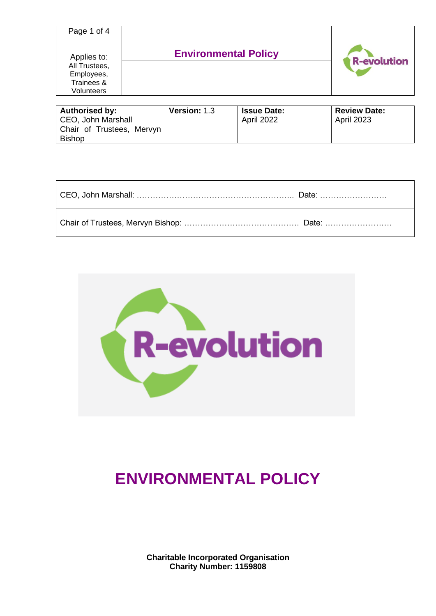| Page 1 of 4                                |                             |                    |
|--------------------------------------------|-----------------------------|--------------------|
| Applies to:<br>All Trustees,<br>Employees, | <b>Environmental Policy</b> | <b>R-evolution</b> |
| Trainees &<br>Volunteers                   |                             |                    |

| <b>Authorised by:</b>     | <b>Version: 1.3</b> | <b>Issue Date:</b> | <b>Review Date:</b> |
|---------------------------|---------------------|--------------------|---------------------|
| CEO, John Marshall        |                     | April 2022         | <b>April 2023</b>   |
| Chair of Trustees, Mervyn |                     |                    |                     |
| <b>Bishop</b>             |                     |                    |                     |

| CEO, John Marshall: ………………………………………………………… Date: …………………… |  |
|-----------------------------------------------------------|--|
|                                                           |  |



# **ENVIRONMENTAL POLICY**

**Charitable Incorporated Organisation Charity Number: 1159808**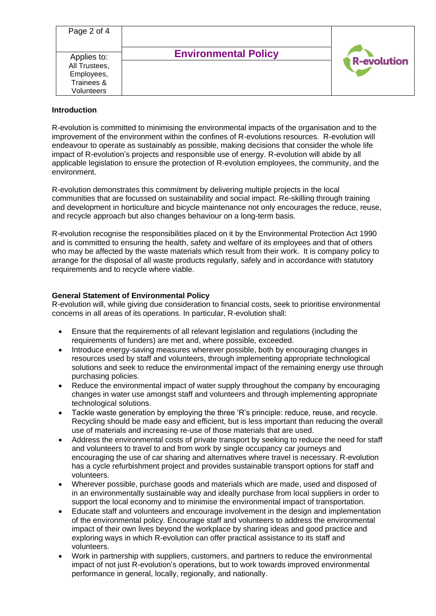| Page 2 of 4                                |                             |                    |
|--------------------------------------------|-----------------------------|--------------------|
| Applies to:<br>All Trustees,<br>Employees, | <b>Environmental Policy</b> | <b>R-evolution</b> |
| Trainees &<br>Volunteers                   |                             |                    |

#### **Introduction**

R-evolution is committed to minimising the environmental impacts of the organisation and to the improvement of the environment within the confines of R-evolutions resources. R-evolution will endeavour to operate as sustainably as possible, making decisions that consider the whole life impact of R-evolution's projects and responsible use of energy. R-evolution will abide by all applicable legislation to ensure the protection of R-evolution employees, the community, and the environment.

R-evolution demonstrates this commitment by delivering multiple projects in the local communities that are focussed on sustainability and social impact. Re-skilling through training and development in horticulture and bicycle maintenance not only encourages the reduce, reuse, and recycle approach but also changes behaviour on a long-term basis.

R-evolution recognise the responsibilities placed on it by the Environmental Protection Act 1990 and is committed to ensuring the health, safety and welfare of its employees and that of others who may be affected by the waste materials which result from their work. It is company policy to arrange for the disposal of all waste products regularly, safely and in accordance with statutory requirements and to recycle where viable.

## **General Statement of Environmental Policy**

R-evolution will, while giving due consideration to financial costs, seek to prioritise environmental concerns in all areas of its operations. In particular, R-evolution shall:

- Ensure that the requirements of all relevant legislation and regulations (including the requirements of funders) are met and, where possible, exceeded.
- Introduce energy-saving measures wherever possible, both by encouraging changes in resources used by staff and volunteers, through implementing appropriate technological solutions and seek to reduce the environmental impact of the remaining energy use through purchasing policies.
- Reduce the environmental impact of water supply throughout the company by encouraging changes in water use amongst staff and volunteers and through implementing appropriate technological solutions.
- Tackle waste generation by employing the three 'R's principle: reduce, reuse, and recycle. Recycling should be made easy and efficient, but is less important than reducing the overall use of materials and increasing re-use of those materials that are used.
- Address the environmental costs of private transport by seeking to reduce the need for staff and volunteers to travel to and from work by single occupancy car journeys and encouraging the use of car sharing and alternatives where travel is necessary. R-evolution has a cycle refurbishment project and provides sustainable transport options for staff and volunteers.
- Wherever possible, purchase goods and materials which are made, used and disposed of in an environmentally sustainable way and ideally purchase from local suppliers in order to support the local economy and to minimise the environmental impact of transportation.
- Educate staff and volunteers and encourage involvement in the design and implementation of the environmental policy. Encourage staff and volunteers to address the environmental impact of their own lives beyond the workplace by sharing ideas and good practice and exploring ways in which R-evolution can offer practical assistance to its staff and volunteers.
- Work in partnership with suppliers, customers, and partners to reduce the environmental impact of not just R-evolution's operations, but to work towards improved environmental performance in general, locally, regionally, and nationally.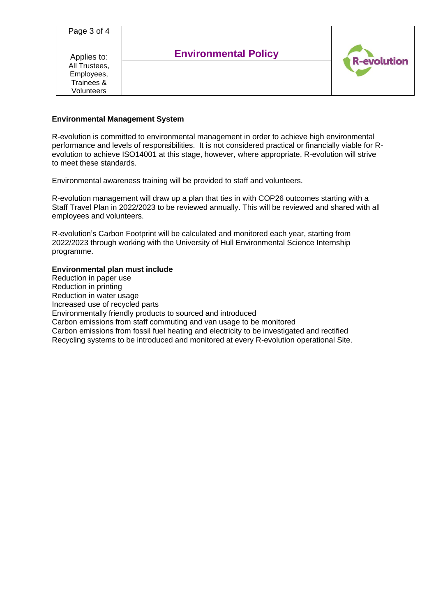| Page 3 of 4                                                            |                             |                    |
|------------------------------------------------------------------------|-----------------------------|--------------------|
| Applies to:<br>All Trustees,<br>Employees,<br>Trainees &<br>Volunteers | <b>Environmental Policy</b> | <b>R-evolution</b> |

## **Environmental Management System**

R-evolution is committed to environmental management in order to achieve high environmental performance and levels of responsibilities. It is not considered practical or financially viable for Revolution to achieve ISO14001 at this stage, however, where appropriate, R-evolution will strive to meet these standards.

Environmental awareness training will be provided to staff and volunteers.

R-evolution management will draw up a plan that ties in with COP26 outcomes starting with a Staff Travel Plan in 2022/2023 to be reviewed annually. This will be reviewed and shared with all employees and volunteers.

R-evolution's Carbon Footprint will be calculated and monitored each year, starting from 2022/2023 through working with the University of Hull Environmental Science Internship programme.

#### **Environmental plan must include**

Reduction in paper use Reduction in printing Reduction in water usage Increased use of recycled parts Environmentally friendly products to sourced and introduced Carbon emissions from staff commuting and van usage to be monitored Carbon emissions from fossil fuel heating and electricity to be investigated and rectified Recycling systems to be introduced and monitored at every R-evolution operational Site.